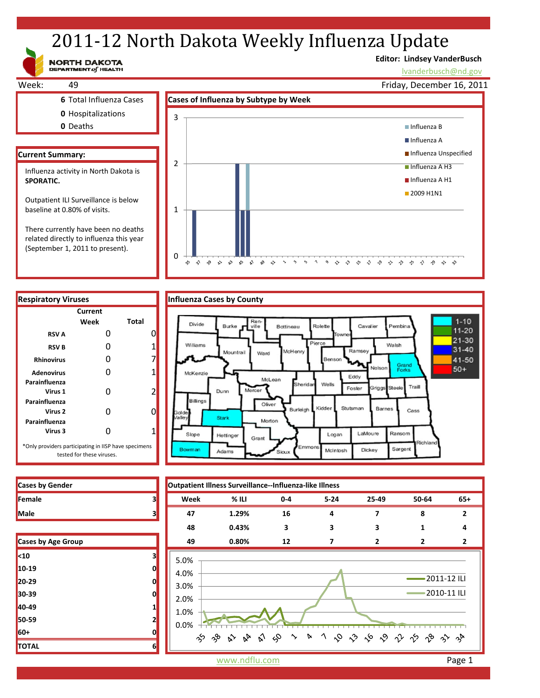# 2011-12 North Dakota Weekly Influenza Update

NORTH DAKOTA

# **Editor: Lindsey VanderBusch**

\* \* \* \* \* \* \* \* \* \* \* \*

lvanderbusch@nd.gov



related directly to influenza this year (September 1, 2011 to present).



|  | fluenza Cases by County |  |
|--|-------------------------|--|
|  |                         |  |

 $\approx$ 

 $\mathbf{v}^{\prime}$ 

 $\mathbf{r}$  $\sqrt{2}$   $\sqrt{2}$ 

 $\approx$ 

 $\gamma$ 

 $\sim$ 

0

z  $\hat{\gamma}$  $\gamma^{\bullet}_{\gamma}$ 





| <b>Cases by Age Group</b> |   |
|---------------------------|---|
| $10$                      | з |
| 10-19                     | 0 |
| 20-29                     | 0 |
| 30-39                     | 0 |
| 40-49                     | 1 |
| 50-59                     | 2 |
| 60+                       | 0 |
| <b>TOTAL</b>              | 6 |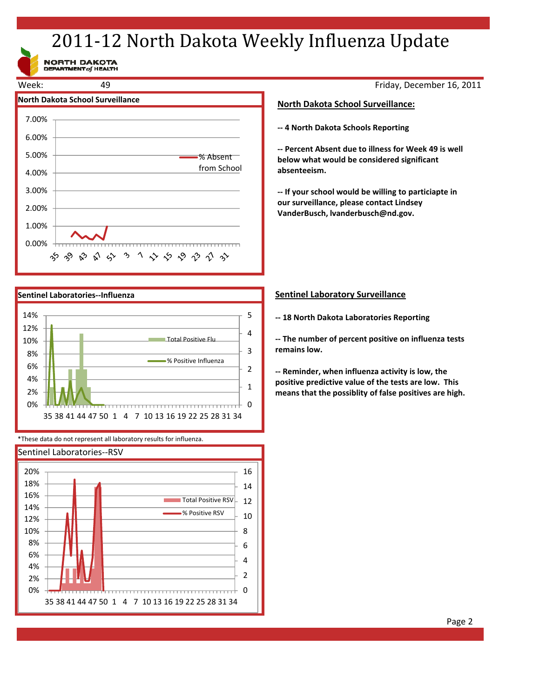# 2011-12 North Dakota Weekly Influenza Update

NORTH DAKOTA<br>DEPARTMENT of HEALTH





\*These data do not represent all laboratory results for influenza.



Friday, December 16, 2011

### **North Dakota School Surveillance:**

**‐‐ 4 North Dakota Schools Reporting**

**‐‐ Percent Absent due to illness for Week 49 is well below what would be considered significant absenteeism.**

**‐‐ If your school would be willing to particiapte in our surveillance, please contact Lindsey VanderBusch, lvanderbusch@nd.gov.**

### **Sentinel Laboratory Surveillance**

**‐‐ 18 North Dakota Laboratories Reporting**

**‐‐ The number of percent positive on influenza tests remains low.**

**‐‐ Reminder, when influenza activity is low, the positive predictive value of the tests are low. This means that the possiblity of false positives are high.**